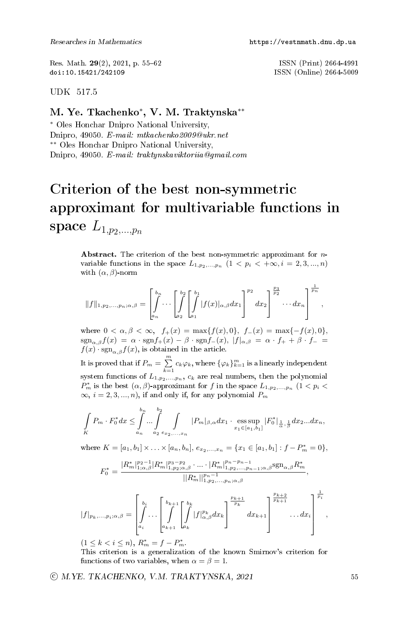Res. Math. 29(2), 2021, p. 55–62 ISSN (Print) 2664-4991<br>doi:10.15421/242109 ISSN (Online) 2664-5009

ISSN (Online) 2664-5009

UDK 517.5

## M. Ye. Tkachenko<sup>∗</sup> , V. M. Traktynska∗∗

<sup>∗</sup> Oles Honchar Dnipro National University, Dnipro, 49050. E-mail: mtkachenko2009@ukr.net ∗∗ Oles Honchar Dnipro National University, Dnipro, 49050. E-mail: traktynskaviktoriia@gmail.com

## Criterion of the best non-symmetric approximant for multivariable functions in space  $L_{1,p_2,...,p_n}$

Abstract. The criterion of the best non-symmetric approximant for  $n$ variable functions in the space  $L_{1,p_2,...,p_n}$   $(1 \lt p_i \lt +\infty, i = 2, 3, ..., n)$ with  $(\alpha, \beta)$ -norm

$$
||f||_{1,p_2,...,p_n;\alpha,\beta} = \left[\int_{a_n}^{b_n} \cdots \left[\int_{a_2}^{b_2} \left[\int_{a_1}^{b_1} |f(x)|_{\alpha,\beta} dx_1\right]^{p_2} dx_2\right]^{p_2} \cdots dx_n\right]^{p_n},
$$

where  $0 < \alpha, \beta < \infty$ ,  $f_+(x) = \max\{f(x), 0\}$ ,  $f_-(x) = \max\{-f(x), 0\}$ ,  $\text{sgn}_{\alpha,\beta}f(x) = \alpha \cdot \text{sgn}f_+(x) - \beta \cdot \text{sgn}f_-(x), |f|_{\alpha,\beta} = \alpha \cdot f_+ + \beta \cdot f_- =$  $f(x) \cdot \text{sgn}_{\alpha,\beta} f(x)$ , is obtained in the article.

It is proved that if  $P_m = \sum_{k=1}^m c_k \varphi_k$ , where  $\{\varphi_k\}_{k=1}^m$  is a linearly independent system functions of  $L_{1,p_2,...,p_n}$ ,  $c_k$  are real numbers, then the polynomial  $P_m^*$  is the best  $(\alpha, \beta)$ -approximant for f in the space  $L_{1,p_2,...,p_n}$   $(1 < p_i <$  $\infty$ ,  $i = 2, 3, ..., n$ , if and only if, for any polynomial  $P_m$ 

$$
\int_{K} P_{m} \cdot F_{0}^{*} dx \leq \int_{a_{n}}^{b_{n}} \dots \int_{a_{2}}^{b_{2}} \int_{e_{x_{2},...,x_{n}}} |P_{m}|_{\beta,\alpha} dx_{1} \cdot \operatorname{ess}_{\sup_{x_{1} \in [a_{1},b_{1}]} |F_{0}^{*}|_{\frac{1}{\alpha},\frac{1}{\beta}} dx_{2}...dx_{n},
$$

where  $K = [a_1, b_1] \times \ldots \times [a_n, b_n], e_{x_2, \ldots, x_n} = \{x_1 \in [a_1, b_1] : f - P_m^* = 0\},\$ 

$$
F_0^* = \frac{|R_m^*|_{1;\alpha,\beta}^{p_2-1}|R_m^*|_{1,p_2;\alpha,\beta}^{p_3-p_2}\cdot\ldots\cdot|R_m^*|_{1,p_2,\ldots,p_{n-1};\alpha,\beta}^{p_n-p_{n-1}}\mathrm{sgn}_{\alpha,\beta}R_m^*}{||R_m^*||_{1,p_2,\ldots,p_n;\alpha,\beta}^{p_n-1}},
$$

$$
|f|_{p_k,\ldots,p_i;\alpha,\beta} = \left[\int\limits_{a_i}^{b_i} \ldots \left[\int\limits_{a_{k+1}}^{b_{k+1}} \left[\int\limits_{a_{k+1}}^{b_k} |f|_{\alpha,\beta}^{p_k} dx_k\right]^{\frac{p_{k+1}}{p_k}} dx_{k+1}\right]^{\frac{p_{k+2}}{p_{k+1}}} \ldots dx_i\right]^{\frac{1}{p_i}},
$$

 $(1 \leq k < i \leq n), R_m^* = f - P_m^*$ .

This criterion is a generalization of the known Smirnov's criterion for functions of two variables, when  $\alpha = \beta = 1$ .

 $\odot$  M.YE. TKACHENKO, V.M. TRAKTYNSKA, 2021 55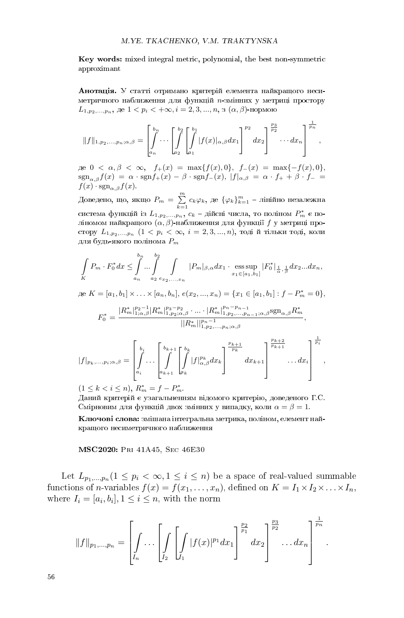Key words: mixed integral metric, polynomial, the best non-symmetric approximant

Анотація. У статті отримано критерій елемента найкращого несиметричного наближення для функцій  $n$ -змінних у метриці простору  $L_{1,p_2,...,p_n}$ , де  $1 < p_i < +\infty$ ,  $i = 2, 3, ..., n$ , з  $(\alpha, \beta)$ -нормою

$$
||f||_{1,p_2,...,p_n;\alpha,\beta} = \left[\int_{a_n}^{b_n} \cdots \left[\int_{a_2}^{b_2} \left[\int_{a_1}^{b_1} |f(x)|_{\alpha,\beta} dx_1\right]^{p_2} dx_2\right]_{p_2}^{\frac{p_3}{p_2}} \cdots dx_n\right]_{p_n}^{\frac{1}{p_n}},
$$

 $\text{Re } 0 < \alpha, \beta < \infty, \quad f_+(x) = \max\{f(x), 0\}, \quad f_-(x) = \max\{-f(x), 0\},$  $sgn_{\alpha,\beta}f(x) = \alpha \cdot sgnf_+(x) - \beta \cdot sgnf_-(x), |f|_{\alpha,\beta} = \alpha \cdot f_+ + \beta \cdot f_- =$  $f(x) \cdot \text{sgn}_{\alpha,\beta}f(x)$ .

Доведено, що, якщо  $P_m = \sum_{k=1}^{m} c_k \varphi_k$ , де  $\{\varphi_k\}_{k=1}^{m}$  – лінійно незалежна система функцій із  $L_{1,p_2,...,p_n},\,c_k$  – дійсні числа, то поліном  $P_m^*$  є поліномом найкращого  $(\alpha, \beta)$ -наближення для функції  $f$  у метриці простору  $L_{1,p_2,...,p_n}$   $(1 < p_i < \infty, i = 2,3,...,n)$ , тоді й тільки тоді, коли для будь-якого полінома  $P_m$ 

$$
\int_{K} P_{m} \cdot F_{0}^{*} dx \leq \int_{a_{n}}^{b_{n}} \dots \int_{a_{2}}^{b_{2}} \int_{e_{x_{2},...,x_{n}}} |P_{m}|_{\beta,\alpha} dx_{1} \cdot \operatorname*{ess\,sup}_{x_{1} \in [a_{1},b_{1}]} |F_{0}^{*}|_{\frac{1}{\alpha},\frac{1}{\beta}} dx_{2}...dx_{n},
$$

 $\Box$   $K = [a_1, b_1] \times \ldots \times [a_n, b_n], e(x_2, ..., x_n) = \{x_1 \in [a_1, b_1] : f - P_m^* = 0\},\$ 

$$
F_0^* = \frac{|R_m^*|_{1;\alpha,\beta}^{p_2-1}|R_m^*|_{1,p_2;\alpha,\beta}^{p_3-p_2} \cdot \ldots \cdot |R_m^*|_{1,p_2,\ldots,p_{n-1};\alpha,\beta}^{p_n-p_{n-1}} \mathrm{sgn}_{\alpha,\beta} R_m^*}{||R_m^*||_{1,p_2,\ldots,p_n;\alpha,\beta}^{p_n-1}}
$$

,

.

$$
|f|_{p_k,\ldots,p_i;\alpha,\beta} = \left[\int\limits_{a_i}^{b_i} \ldots \left[\int\limits_{a_{k+1}}^{b_{k+1}} \left[\int\limits_{a_{k+1}}^{b_k} |f|_{\alpha,\beta}^{p_k} dx_k\right]^{\frac{p_{k+1}}{p_k}} dx_{k+1}\right]^{\frac{p_{k+2}}{p_{k+1}}} \ldots dx_i\right]^{\frac{1}{p_i}},
$$

 $(1 \leq k < i \leq n)$ ,  $R_m^* = f - P_m^*$ .

Даний критерій є узагальненням відомого критерію, доведеного Г.С. Смірновим для функцій двох змінних у випадку, коли  $\alpha = \beta = 1$ .

Ключові слова: змішана інтегральна метрика, поліном, елемент найкращого несиметричного наближення

MSC2020: Pri 41A45, Sec 46E30

Let  $L_{p_1,...,p_n} (1 \leq p_i < \infty, 1 \leq i \leq n)$  be a space of real-valued summable functions of *n*-variables  $f(x) = f(x_1, \ldots, x_n)$ , defined on  $K = I_1 \times I_2 \times \ldots \times I_n$ , where  $I_i = [a_i, b_i], 1 \leq i \leq n$ , with the norm

$$
||f||_{p_1,...,p_n} = \left[\int\limits_{I_n} \ldots \left[\int\limits_{I_2} \left[ \int\limits_{I_1} |f(x)|^{p_1} dx_1 \right]^{p_2} dx_2 \right]^{p_3} \ldots dx_n \right]^{\frac{1}{p_n}}
$$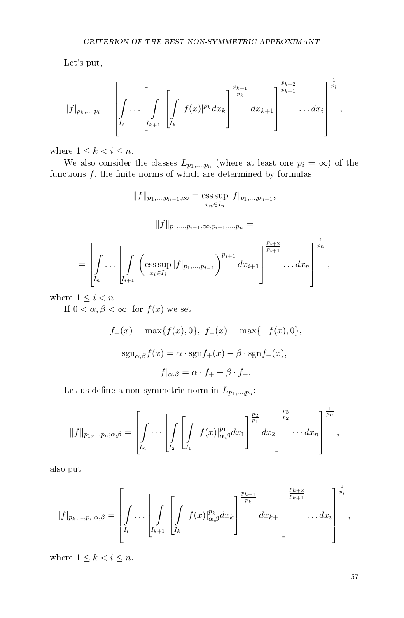Let's put,

$$
|f|_{p_k,...,p_i} = \left[\int\limits_{I_i} \ldots \left[\int\limits_{I_{k+1}} \left[ \int\limits_{I_k} |f(x)|^{p_k} dx_k \right]^{p_{k+1} \over p_k} dx_{k+1} \right]^{p_{k+2} \over p_{k+1}} \ldots dx_i \right]^{p_i \over p_i},
$$

where  $1\leq k < i \leq n.$ 

We also consider the classes  $L_{p_1,...,p_n}$  (where at least one  $p_i = \infty$ ) of the functions  $f$ , the finite norms of which are determined by formulas

$$
||f||_{p_1,...,p_{n-1},\infty} = \underset{x_n \in I_n}{\text{ess sup}} |f|_{p_1,...,p_{n-1}},
$$

$$
\|f\|_{p_1,\ldots,p_{i-1},\infty,p_{i+1},\ldots,p_n}=
$$

$$
= \left[\int\limits_{I_n} \ldots \left[\int\limits_{I_{i+1}} \left(\mathrm{ess} \sup_{x_i \in I_i} |f|_{p_1,\ldots,p_{i-1}}\right)^{p_{i+1}} dx_{i+1}\right]^{\frac{p_{i+2}}{p_{i+1}}} \ldots dx_n\right]^{\frac{1}{p_n}},
$$

where  $1 \leq i < n$ .

If  $0 < \alpha, \beta < \infty$ , for  $f(x)$  we set

$$
f_{+}(x) = \max\{f(x), 0\}, \ f_{-}(x) = \max\{-f(x), 0\},
$$

$$
\text{sgn}_{\alpha,\beta}f(x) = \alpha \cdot \text{sgn}f_{+}(x) - \beta \cdot \text{sgn}f_{-}(x),
$$

$$
|f|_{\alpha,\beta} = \alpha \cdot f_{+} + \beta \cdot f_{-}.
$$

Let us define a non-symmetric norm in  $L_{p_1,...,p_n}$ :

$$
||f||_{p_1,\ldots,p_n;\alpha,\beta} = \left[\int\limits_{I_n} \cdots \left[\int\limits_{I_2} \left[ \int\limits_{I_1} |f(x)|_{\alpha,\beta}^{p_1} dx_1 \right]^{\frac{p_2}{p_1}} dx_2 \right]^{\frac{p_3}{p_2}} \cdots dx_n \right]^{\frac{1}{p_n}},
$$

also put

$$
|f|_{p_k,\ldots,p_i;\alpha,\beta} = \left[\int\limits_{I_i} \ldots \left[\int\limits_{I_{k+1}} \left[\int\limits_{I_k} |f(x)|_{\alpha,\beta}^{p_k} dx_k\right]^{p_{k+1}\over p_k} dx_{k+1}\right]^{p_{k+2}\over p_{k+1}} \ldots dx_i\right]^{1\over p_i},
$$

where  $1 \leq k < i \leq n$ .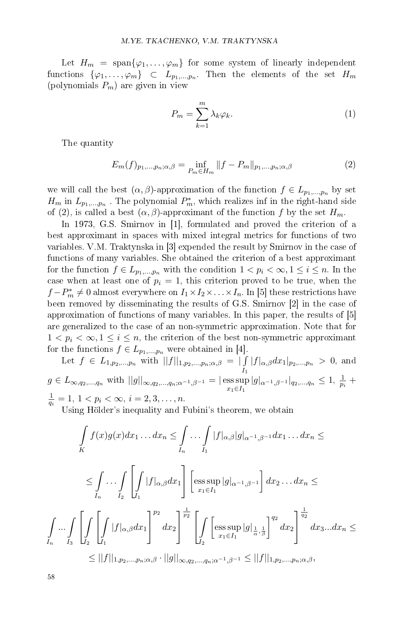Let  $H_m = \text{span}\{\varphi_1,\ldots,\varphi_m\}$  for some system of linearly independent functions  $\{\varphi_1,\ldots,\varphi_m\}$   $\subset$   $L_{p_1,\ldots,p_n}.$  Then the elements of the set  $H_m$ (polynomials  $P_m$ ) are given in view

$$
P_m = \sum_{k=1}^{m} \lambda_k \varphi_k.
$$
 (1)

The quantity

$$
E_m(f)_{p_1,\dots,p_n;\alpha,\beta} = \inf_{P_m \in H_m} \|f - P_m\|_{p_1,\dots,p_n;\alpha,\beta}
$$
 (2)

we will call the best  $(\alpha, \beta)$ -approximation of the function  $f \in L_{p_1,...,p_n}$  by set  $H_m$  in  $L_{p_1,...,p_n}$  . The polynomial  $P_m^*$ , which realizes inf in the right-hand side of (2), is called a best  $(\alpha, \beta)$ -approximant of the function f by the set  $H_m$ .

In 1973, G.S. Smirnov in [1], formulated and proved the criterion of a best approximant in spaces with mixed integral metrics for functions of two variables. V.M. Traktynska in [3] expended the result by Smirnov in the case of functions of many variables. She obtained the criterion of a best approximant for the function  $f \in L_{p_1,...,p_n}$  with the condition  $1 < p_i < \infty, 1 \leq i \leq n$ . In the case when at least one of  $p_i = 1$ , this criterion proved to be true, when the  $f - P_m^* \neq 0$  almost everywhere on  $I_1 \times I_2 \times \ldots \times I_n$ . In [5] these restrictions have been removed by disseminating the results of G.S. Smirnov [2] in the case of approximation of functions of many variables. In this paper, the results of [5] are generalized to the case of an non-symmetric approximation. Note that for  $1 < p_i < \infty, 1 \leq i \leq n$ , the criterion of the best non-symmetric approximant for the functions  $f \in L_{p_1,\dots,p_n}$  were obtained in [4].

Let 
$$
f \in L_{1,p_2,...,p_n}
$$
 with  $||f||_{1,p_2,...,p_n;\alpha,\beta} = |\int_{I} |f|_{\alpha,\beta} dx_1|_{p_2,...,p_n} > 0$ , and  
\n $g \in L_{\infty,q_2,...,q_n}$  with  $||g||_{\infty,q_2,...,q_n;\alpha^{-1},\beta^{-1}} = |\operatorname{ess} \sup_{x_1 \in I_1} |g|_{\alpha^{-1},\beta^{-1}}|_{q_2,...,q_n} \le 1$ ,  $\frac{1}{p_i} + \frac{1}{q_i} = 1$ ,  $1 < p_i < \infty$ ,  $i = 2,3,...,n$ .

Using Hölder's inequality and Fubini's theorem, we obtain

$$
\int_{K} f(x)g(x)dx_1 \dots dx_n \leq \int_{I_n} \dots \int_{I_1} |f|_{\alpha,\beta}|g|_{\alpha^{-1},\beta^{-1}} dx_1 \dots dx_n \leq
$$
\n
$$
\leq \int_{I_n} \dots \int_{I_2} \left[ \int_{I_1} |f|_{\alpha,\beta} dx_1 \right] \left[ \underset{x_1 \in I_1}{\text{ess sup }} |g|_{\alpha^{-1},\beta^{-1}} \right] dx_2 \dots dx_n \leq
$$
\n
$$
\int_{I_n} \dots \int_{I_3} \left[ \int_{I_2} \left[ \int_{I_1} |f|_{\alpha,\beta} dx_1 \right]^{p_2} dx_2 \right] \frac{1}{p_2} \left[ \int_{I_2} \left[ \underset{x_1 \in I_1}{\text{ess sup }} |g| \frac{1}{\alpha, \frac{1}{\beta}} \right]^{q_2} dx_2 \right]^{\frac{1}{q_2}} dx_3 \dots dx_n \leq
$$
\n
$$
\leq ||f||_{1,p_2,...,p_n;\alpha,\beta} \cdot ||g||_{\infty,q_2,...,q_n;\alpha^{-1},\beta^{-1}} \leq ||f||_{1,p_2,...,p_n;\alpha,\beta},
$$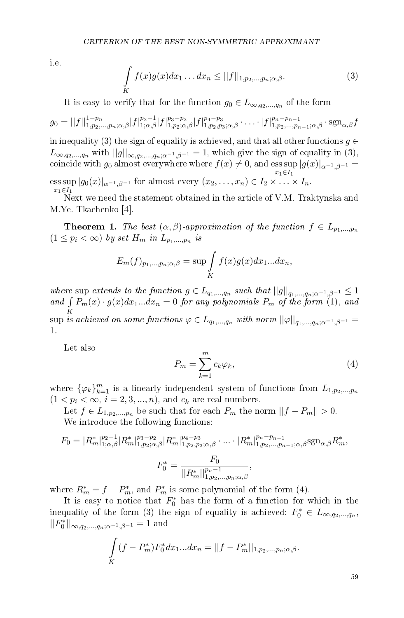i.e.

$$
\int\limits_K f(x)g(x)dx_1\ldots dx_n \le ||f||_{1,p_2,\ldots,p_n;\alpha,\beta}.\tag{3}
$$

It is easy to verify that for the function  $g_0 \in L_{\infty,q_2,\dots,q_n}$  of the form

$$
g_0 = ||f||_{1,p_2,...,p_n;\alpha,\beta}^{1-p_n} |f|_{1;\alpha,\beta}^{p_2-1} |f|_{1,p_2;\alpha,\beta}^{p_3-p_2} |f|_{1,p_2,p_3;\alpha,\beta}^{p_4-p_3} \cdot \ldots \cdot |f|_{1,p_2,...,p_{n-1};\alpha,\beta}^{p_n-p_{n-1}} \cdot \operatorname{sgn}_{\alpha,\beta} f
$$

in inequality (3) the sign of equality is achieved, and that all other functions  $g \in$  $L_{\infty,q_2,...,q_n}$  with  $||g||_{\infty,q_2,...,q_n;\alpha^{-1},\beta^{-1}}=1$ , which give the sign of equality in (3), coincide with  $g_0$  almost everywhere where  $f(x) \neq 0$ , and  $\operatorname{ess} \sup |g(x)|_{\alpha^{-1},\beta^{-1}} =$  $x_1 \in I_1$  $\text{ess}\sup_{n}|g_0(x)|_{\alpha^{-1},\beta^{-1}}$  for almost every  $(x_2,\ldots,x_n)\in I_2\times\ldots\times I_n$ .  $x_1 \in I_1$ 

Next we need the statement obtained in the article of V.M. Traktynska and M.Ye. Tkachenko [4].

**Theorem 1.** The best  $(\alpha, \beta)$ -approximation of the function  $f \in L_{p_1,...,p_n}$  $(1 \leq p_i < \infty)$  by set  $H_m$  in  $L_{p_1,...,p_n}$  is

$$
E_m(f)_{p_1,\ldots,p_n;\alpha,\beta} = \sup \int\limits_K f(x)g(x)dx_1...dx_n,
$$

where sup extends to the function  $g \in L_{q_1,...,q_n}$  such that  $||g||_{q_1,...,q_n;\alpha^{-1},\beta^{-1}} \leq 1$ and  $\int P_m(x) \cdot g(x) dx_1...dx_n = 0$  for any polynomials  $P_m$  of the form (1), and  $K \sup \stackrel{K}{\text{is achieved on some functions}} \varphi \in L_{q_1,...,q_n} \text{ with norm } ||\varphi||_{q_1,...,q_n;\alpha^{-1},\beta^{-1}} = 0$ 

Let also

1.

$$
P_m = \sum_{k=1}^{m} c_k \varphi_k,\tag{4}
$$

where  $\{\varphi_k\}_{k=1}^m$  is a linearly independent system of functions from  $L_{1,p_2,...,p_n}$  $(1 < p_i < \infty, i = 2, 3, ..., n)$ , and  $c_k$  are real numbers.

Let  $f \in L_{1,p_2,...,p_n}$  be such that for each  $P_m$  the norm  $||f - P_m|| > 0$ . We introduce the following functions:

$$
F_0 = |R_m^*|_{1;\alpha,\beta}^{p_2-1}|R_m^*|_{1,p_2;\alpha,\beta}^{p_3-p_2}|R_m^*|_{1,p_2,p_3;\alpha,\beta}^{p_4-p_3}\cdot...\cdot|R_m^*|_{1,p_2,...,p_{n-1};\alpha,\beta}^{p_n-p_{n-1}}S_{\alpha,\beta}^{p_n}
$$

$$
F_0^* = \frac{F_0}{||R_m^*||_{1,p_2,...,p_n;\alpha,\beta}^{p_n-1}},
$$

where  $R_m^* = f - P_m^*$ , and  $P_m^*$  is some polynomial of the form (4).

It is easy to notice that  $F_0^*$  has the form of a function for which in the inequality of the form (3) the sign of equality is achieved:  $F_0^* \in L_{\infty,q_2,\dots,q_n}$ ,  $||F_0^*||_{\infty,q_2,...,q_n;\alpha^{-1},\beta^{-1}}=1$  and

$$
\int_{K} (f - P_m^*) F_0^* dx_1 ... dx_n = ||f - P_m^*||_{1, p_2, ..., p_n; \alpha, \beta}.
$$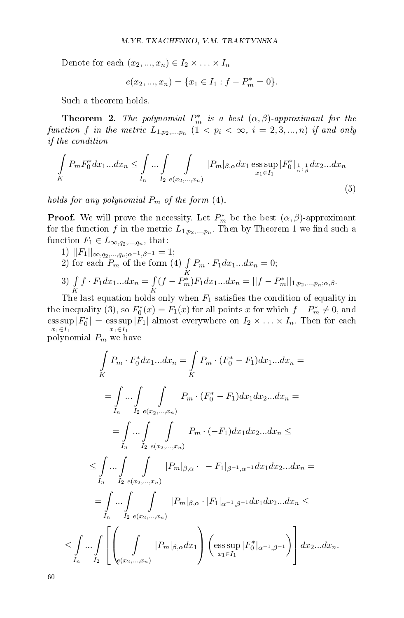Denote for each  $(x_2, ..., x_n) \in I_2 \times ... \times I_n$ 

$$
e(x_2, ..., x_n) = \{x_1 \in I_1 : f - P_m^* = 0\}.
$$

Such a theorem holds.

**Theorem 2.** The polynomial  $P_m^*$  is a best  $(\alpha, \beta)$ -approximant for the function  $f$  in the metric  $L_{1,p_{2},...,p_{n}}$   $(1 < p_{i} < \infty, i = 2,3,...,n)$  if and only if the condition

$$
\int_{K} P_{m} F_{0}^{*} dx_{1}...dx_{n} \leq \int_{I_{n}} ... \int_{I_{2}} \int_{e(x_{2},...,x_{n})} |P_{m}|_{\beta,\alpha} dx_{1} \operatorname{ess} \sup_{x_{1} \in I_{1}} |F_{0}^{*}|_{\frac{1}{\alpha},\frac{1}{\beta}} dx_{2}...dx_{n}
$$
\n(5)

holds for any polynomial  $P_m$  of the form (4).

**Proof.** We will prove the necessity. Let  $P_m^*$  be the best  $(\alpha, \beta)$ -approximant for the function  $f$  in the metric  $L_{1,p_2,...,p_n}$  . Then by Theorem 1 we find such a function  $F_1 \in L_{\infty,q_2,\dots,q_n}$ , that:

1)  $||F_1||_{\infty,q_2,\ldots,q_n;\alpha^{-1},\beta^{-1}}=1;$ 2) for each  $P_m$  of the form (4)  $\int P_m \cdot F_1 dx_1...dx_n = 0;$ 

3) 
$$
\int_{K} f \cdot F_1 dx_1 ... dx_n = \int_{K} (f - P_m^*) F_1 dx_1 ... dx_n = ||f - P_m^*||_{1, p_2, ..., p_n; \alpha, \beta}.
$$

The last equation holds only when  $F_1$  satisfies the condition of equality in the inequality (3), so  $F_0^*(x) = F_1(x)$  for all points x for which  $f - P_m^* \neq 0$ , and  $\text{ess}\sup_{\mathbf{v}}|F_0^*| = \text{ess}\sup_{\mathbf{v}}|F_1|$  almost everywhere on  $I_2 \times \ldots \times I_n$ . Then for each  $x_1{\in}I_1$  $x_1 \in I_1$ polynomial  $P_m$  we have

$$
\int_{K} P_{m} \cdot F_{0}^{*} dx_{1}...dx_{n} = \int_{K} P_{m} \cdot (F_{0}^{*} - F_{1}) dx_{1}...dx_{n} =
$$
\n
$$
= \int_{I_{n}} ... \int_{I_{2}} \int_{e(x_{2},...,x_{n})} P_{m} \cdot (F_{0}^{*} - F_{1}) dx_{1} dx_{2}...dx_{n} =
$$
\n
$$
= \int_{I_{n}} ... \int_{I_{2}} \int_{e(x_{2},...,x_{n})} P_{m} \cdot (-F_{1}) dx_{1} dx_{2}...dx_{n} \le
$$
\n
$$
\int_{I_{n}} ... \int_{I_{2}} \int_{e(x_{2},...,x_{n})} |P_{m}|_{\beta,\alpha} \cdot |-F_{1}|_{\beta^{-1},\alpha^{-1}} dx_{1} dx_{2}...dx_{n} =
$$
\n
$$
= \int_{I_{n}} ... \int_{I_{2}} \int_{e(x_{2},...,x_{n})} |P_{m}|_{\beta,\alpha} \cdot |F_{1}|_{\alpha^{-1},\beta^{-1}} dx_{1} dx_{2}...dx_{n} \le
$$
\n
$$
\int_{I_{n}} ... \int_{I_{2}} \left[ \left( \int_{e(x_{2},...,x_{n})} |P_{m}|_{\beta,\alpha} dx_{1} \right) \left( \underset{x_{1} \in I_{1}}{\text{ess sup }} |F_{0}^{*}|_{\alpha^{-1},\beta^{-1}} \right) \right] dx_{2}...dx_{n}.
$$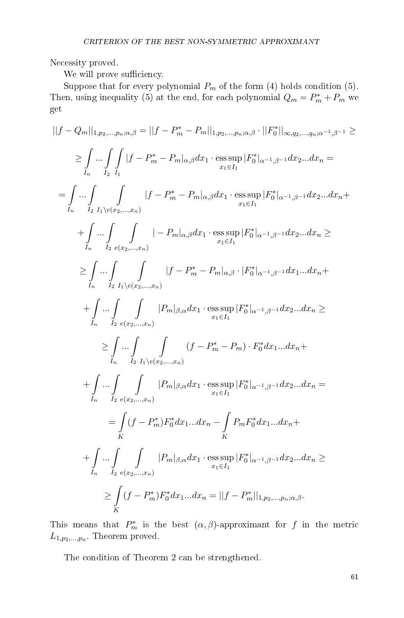Necessity proved.

We will prove sufficiency.

Suppose that for every polynomial  $P_m$  of the form (4) holds condition (5). Then, using inequality (5) at the end, for each polynomial  $Q_m = P_m^* + P_m$  we get

$$
||f - Q_m||_{1,p_2,...,p_n;\alpha,\beta} = ||f - P_m^* - P_m||_{1,p_2,...,p_n;\alpha,\beta} \cdot ||F_0^*||_{\infty,q_2,...,q_n;\alpha^{-1},\beta^{-1}} \ge
$$
\n
$$
\geq \int_{I_n} ... \int_{I_2} |f - P_m^* - P_m|_{\alpha,\beta} dx_1 \cdot \operatorname{ess} \sup_{x_1 \in I_1} |F_0^*|_{\alpha^{-1},\beta^{-1}} dx_2...dx_n =
$$
\n
$$
= \int_{I_n} ... \int_{I_2} ... \int_{I_1} |f - P_m^* - P_m|_{\alpha,\beta} dx_1 \cdot \operatorname{ess} \sup_{x_1 \in I_1} |F_0^*|_{\alpha^{-1},\beta^{-1}} dx_2...dx_n +
$$
\n
$$
+ \int_{I_n} ... \int_{I_2} ... \int_{I_2} |f - P_m|_{\alpha,\beta} dx_1 \cdot \operatorname{ess} \sup_{x_1 \in I_1} |F_0^*|_{\alpha^{-1},\beta^{-1}} dx_2...dx_n \ge
$$
\n
$$
\geq \int_{I_n} ... \int_{I_2} ... \int_{I_2} |f - P_m^* - P_m|_{\alpha,\beta} \cdot |F_0^*|_{\alpha^{-1},\beta^{-1}} dx_1...dx_n +
$$
\n
$$
+ \int_{I_n} ... \int_{I_2} ... \int_{I_1 \in (x_2,...,x_n)} |P_m|_{\beta,\alpha} dx_1 \cdot \operatorname{ess} \sup_{x_1 \in I_1} |F_0^*|_{\alpha^{-1},\beta^{-1}} dx_2...dx_n \ge
$$
\n
$$
\geq \int_{I_n} ... \int_{I_2} ... \int_{I_2} |P_m|_{\beta,\alpha} dx_1 \cdot \operatorname{ess} \sup_{x_1 \in I_1} |F_0^*|_{\alpha^{-1},\beta^{-1}} dx_2...dx_n +
$$
\n
$$
+ \int_{I_n} ... \int_{I_2} ... \int_{I_2} |P_m|_{\beta,\alpha} dx_1 \cdot \operatorname{ess} \sup_{x_1 \in I_1} |F_0^*|_{\alpha^{-1},\beta^{-1}} dx_2...dx_n =
$$
\n
$$
= \int_{I_n} (f - P_m^*) F_0^* dx_1...dx_n
$$

This means that  $P_m^*$  is the best  $(\alpha, \beta)$ -approximant for f in the metric  $L_{1,p_2,...,p_n}$ . Theorem proved.

The condition of Theorem 2 can be strengthened.